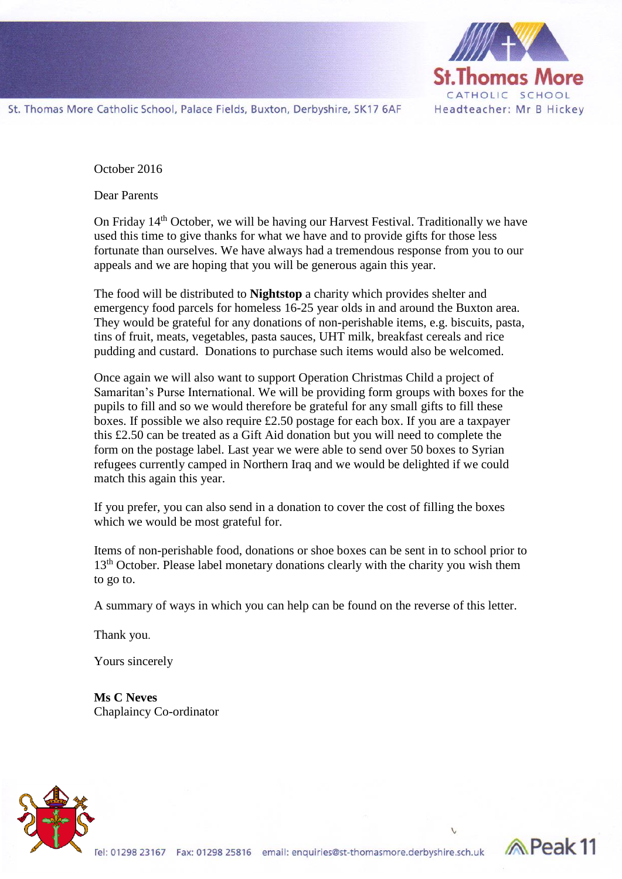

Reak 11

St. Thomas More Catholic School, Palace Fields, Buxton, Derbyshire, SK17 6AF

October 2016

Dear Parents

On Friday 14<sup>th</sup> October, we will be having our Harvest Festival. Traditionally we have used this time to give thanks for what we have and to provide gifts for those less fortunate than ourselves. We have always had a tremendous response from you to our appeals and we are hoping that you will be generous again this year.

The food will be distributed to **Nightstop** a charity which provides shelter and emergency food parcels for homeless 16-25 year olds in and around the Buxton area. They would be grateful for any donations of non-perishable items, e.g. biscuits, pasta, tins of fruit, meats, vegetables, pasta sauces, UHT milk, breakfast cereals and rice pudding and custard. Donations to purchase such items would also be welcomed.

Once again we will also want to support Operation Christmas Child a project of Samaritan's Purse International. We will be providing form groups with boxes for the pupils to fill and so we would therefore be grateful for any small gifts to fill these boxes. If possible we also require £2.50 postage for each box. If you are a taxpayer this £2.50 can be treated as a Gift Aid donation but you will need to complete the form on the postage label. Last year we were able to send over 50 boxes to Syrian refugees currently camped in Northern Iraq and we would be delighted if we could match this again this year.

If you prefer, you can also send in a donation to cover the cost of filling the boxes which we would be most grateful for.

Items of non-perishable food, donations or shoe boxes can be sent in to school prior to 13<sup>th</sup> October. Please label monetary donations clearly with the charity you wish them to go to.

A summary of ways in which you can help can be found on the reverse of this letter.

Thank you.

Yours sincerely

**Ms C Neves** Chaplaincy Co-ordinator